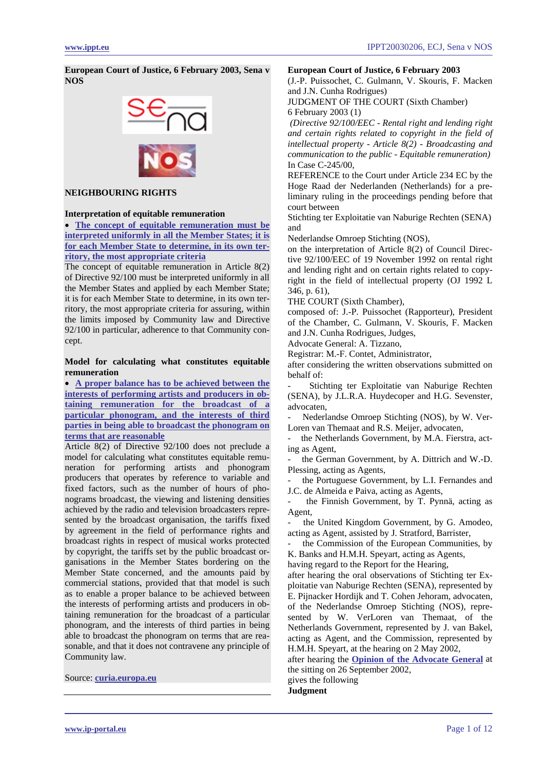**European Court of Justice, 6 February 2003, Sena v NOS**



## **NEIGHBOURING RIGHTS**

#### **Interpretation of equitable remuneration**

• **[The concept of equitable remuneration must be](#page-4-0)  [interpreted uniformly in all the Member States; it is](#page-4-0)  [for each Member State to determine, in its own ter](#page-4-0)[ritory, the most appropriate criteria](#page-4-0)**

The concept of equitable remuneration in Article 8(2) of Directive 92/100 must be interpreted uniformly in all the Member States and applied by each Member State; it is for each Member State to determine, in its own territory, the most appropriate criteria for assuring, within the limits imposed by Community law and Directive 92/100 in particular, adherence to that Community concept.

#### **Model for calculating what constitutes equitable remuneration**

• **[A proper balance has to be achieved between the](#page-4-0)  [interests of performing artists and producers in ob](#page-4-0)[taining remuneration for the broadcast of a](#page-4-0)  [particular phonogram, and the interests of third](#page-4-0)  [parties in being able to broadcast the phonogram on](#page-4-0)  [terms that are reasonable](#page-4-0)**

Article 8(2) of Directive 92/100 does not preclude a model for calculating what constitutes equitable remuneration for performing artists and phonogram producers that operates by reference to variable and fixed factors, such as the number of hours of phonograms broadcast, the viewing and listening densities achieved by the radio and television broadcasters represented by the broadcast organisation, the tariffs fixed by agreement in the field of performance rights and broadcast rights in respect of musical works protected by copyright, the tariffs set by the public broadcast organisations in the Member States bordering on the Member State concerned, and the amounts paid by commercial stations, provided that that model is such as to enable a proper balance to be achieved between the interests of performing artists and producers in obtaining remuneration for the broadcast of a particular phonogram, and the interests of third parties in being able to broadcast the phonogram on terms that are reasonable, and that it does not contravene any principle of Community law.

Source: **[curia.europa.eu](http://curia.europa.eu/jurisp/cgi-bin/gettext.pl?lang=en&num=79969793C19000245&doc=T&ouvert=T&seance=ARRET)**

**European Court of Justice, 6 February 2003**

(J.-P. Puissochet, C. Gulmann, V. Skouris, F. Macken and J.N. Cunha Rodrigues)

JUDGMENT OF THE COURT (Sixth Chamber) 6 February 2003 (1)

 *(Directive 92/100/EEC - Rental right and lending right and certain rights related to copyright in the field of intellectual property - Article 8(2) - Broadcasting and communication to the public - Equitable remuneration)*  In Case C-245/00,

REFERENCE to the Court under Article 234 EC by the Hoge Raad der Nederlanden (Netherlands) for a preliminary ruling in the proceedings pending before that court between

Stichting ter Exploitatie van Naburige Rechten (SENA) and

Nederlandse Omroep Stichting (NOS),

on the interpretation of Article 8(2) of Council Directive 92/100/EEC of 19 November 1992 on rental right and lending right and on certain rights related to copyright in the field of intellectual property (OJ 1992 L 346, p. 61),

THE COURT (Sixth Chamber),

composed of: J.-P. Puissochet (Rapporteur), President of the Chamber, C. Gulmann, V. Skouris, F. Macken and J.N. Cunha Rodrigues, Judges,

Advocate General: A. Tizzano,

Registrar: M.-F. Contet, Administrator,

after considering the written observations submitted on behalf of:

- Stichting ter Exploitatie van Naburige Rechten (SENA), by J.L.R.A. Huydecoper and H.G. Sevenster, advocaten,

- Nederlandse Omroep Stichting (NOS), by W. Ver-Loren van Themaat and R.S. Meijer, advocaten,

the Netherlands Government, by M.A. Fierstra, acting as Agent,

the German Government, by A. Dittrich and W.-D. Plessing, acting as Agents,

the Portuguese Government, by L.I. Fernandes and J.C. de Almeida e Paiva, acting as Agents,

the Finnish Government, by T. Pynnä, acting as Agent,

the United Kingdom Government, by G. Amodeo, acting as Agent, assisted by J. Stratford, Barrister,

the Commission of the European Communities, by K. Banks and H.M.H. Speyart, acting as Agents,

having regard to the Report for the Hearing,

after hearing the oral observations of Stichting ter Exploitatie van Naburige Rechten (SENA), represented by E. Pijnacker Hordijk and T. Cohen Jehoram, advocaten, of the Nederlandse Omroep Stichting (NOS), represented by W. VerLoren van Themaat, of the Netherlands Government, represented by J. van Bakel, acting as Agent, and the Commission, represented by H.M.H. Speyart, at the hearing on 2 May 2002,

after hearing the **[Opinion of the Advocate General](#page-5-0)** at the sitting on 26 September 2002,

gives the following

**Judgment**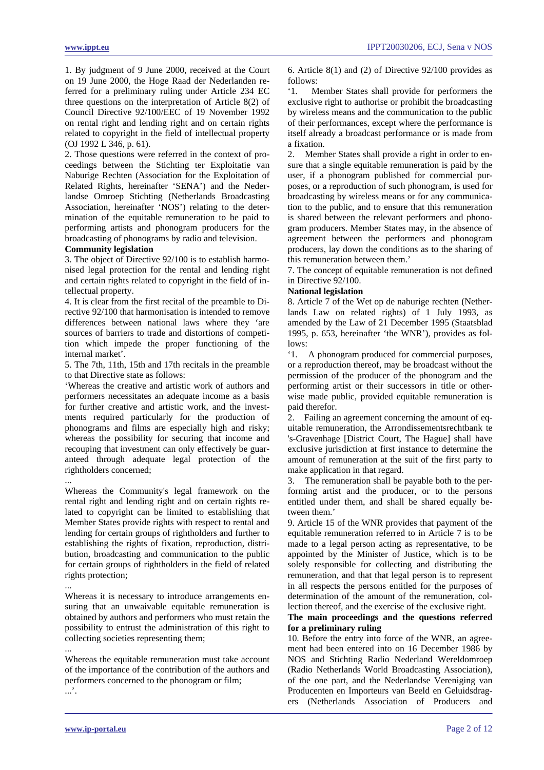1. By judgment of 9 June 2000, received at the Court on 19 June 2000, the Hoge Raad der Nederlanden referred for a preliminary ruling under Article 234 EC three questions on the interpretation of Article 8(2) of Council Directive 92/100/EEC of 19 November 1992 on rental right and lending right and on certain rights related to copyright in the field of intellectual property (OJ 1992 L 346, p. 61).

2. Those questions were referred in the context of proceedings between the Stichting ter Exploitatie van Naburige Rechten (Association for the Exploitation of Related Rights, hereinafter 'SENA') and the Nederlandse Omroep Stichting (Netherlands Broadcasting Association, hereinafter 'NOS') relating to the determination of the equitable remuneration to be paid to performing artists and phonogram producers for the broadcasting of phonograms by radio and television.

#### **Community legislation**

3. The object of Directive 92/100 is to establish harmonised legal protection for the rental and lending right and certain rights related to copyright in the field of intellectual property.

4. It is clear from the first recital of the preamble to Directive 92/100 that harmonisation is intended to remove differences between national laws where they 'are sources of barriers to trade and distortions of competition which impede the proper functioning of the internal market'.

5. The 7th, 11th, 15th and 17th recitals in the preamble to that Directive state as follows:

'Whereas the creative and artistic work of authors and performers necessitates an adequate income as a basis for further creative and artistic work, and the investments required particularly for the production of phonograms and films are especially high and risky; whereas the possibility for securing that income and recouping that investment can only effectively be guaranteed through adequate legal protection of the rightholders concerned;

## ...

Whereas the Community's legal framework on the rental right and lending right and on certain rights related to copyright can be limited to establishing that Member States provide rights with respect to rental and lending for certain groups of rightholders and further to establishing the rights of fixation, reproduction, distribution, broadcasting and communication to the public for certain groups of rightholders in the field of related rights protection;

## ...

Whereas it is necessary to introduce arrangements ensuring that an unwaivable equitable remuneration is obtained by authors and performers who must retain the possibility to entrust the administration of this right to collecting societies representing them;

## ...

Whereas the equitable remuneration must take account of the importance of the contribution of the authors and performers concerned to the phonogram or film; ...'.

6. Article 8(1) and (2) of Directive 92/100 provides as follows:

'1. Member States shall provide for performers the exclusive right to authorise or prohibit the broadcasting by wireless means and the communication to the public of their performances, except where the performance is itself already a broadcast performance or is made from a fixation.

2. Member States shall provide a right in order to ensure that a single equitable remuneration is paid by the user, if a phonogram published for commercial purposes, or a reproduction of such phonogram, is used for broadcasting by wireless means or for any communication to the public, and to ensure that this remuneration is shared between the relevant performers and phonogram producers. Member States may, in the absence of agreement between the performers and phonogram producers, lay down the conditions as to the sharing of this remuneration between them.'

7. The concept of equitable remuneration is not defined in Directive 92/100.

#### **National legislation**

8. Article 7 of the Wet op de naburige rechten (Netherlands Law on related rights) of 1 July 1993, as amended by the Law of 21 December 1995 (Staatsblad 1995, p. 653, hereinafter 'the WNR'), provides as follows:

'1. A phonogram produced for commercial purposes, or a reproduction thereof, may be broadcast without the permission of the producer of the phonogram and the performing artist or their successors in title or otherwise made public, provided equitable remuneration is paid therefor.

2. Failing an agreement concerning the amount of equitable remuneration, the Arrondissementsrechtbank te 's-Gravenhage [District Court, The Hague] shall have exclusive jurisdiction at first instance to determine the amount of remuneration at the suit of the first party to make application in that regard.

3. The remuneration shall be payable both to the performing artist and the producer, or to the persons entitled under them, and shall be shared equally between them.'

9. Article 15 of the WNR provides that payment of the equitable remuneration referred to in Article 7 is to be made to a legal person acting as representative, to be appointed by the Minister of Justice, which is to be solely responsible for collecting and distributing the remuneration, and that that legal person is to represent in all respects the persons entitled for the purposes of determination of the amount of the remuneration, collection thereof, and the exercise of the exclusive right.

## **The main proceedings and the questions referred for a preliminary ruling**

10. Before the entry into force of the WNR, an agreement had been entered into on 16 December 1986 by NOS and Stichting Radio Nederland Wereldomroep (Radio Netherlands World Broadcasting Association), of the one part, and the Nederlandse Vereniging van Producenten en Importeurs van Beeld en Geluidsdragers (Netherlands Association of Producers and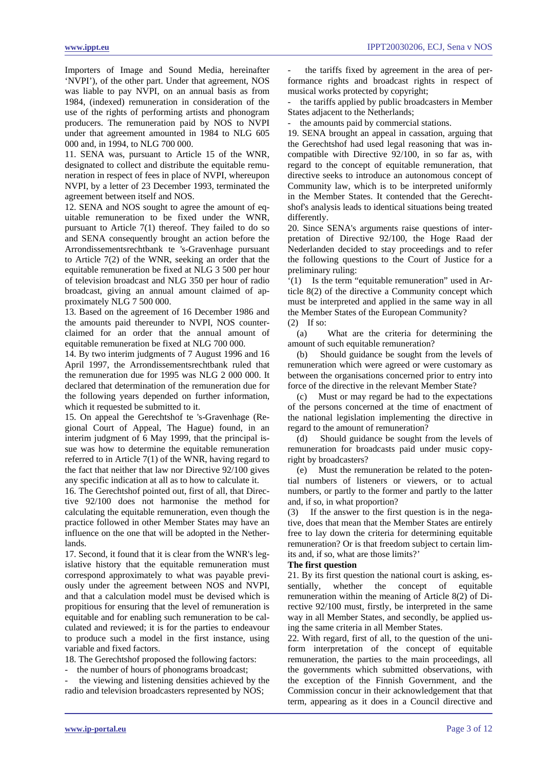Importers of Image and Sound Media, hereinafter 'NVPI'), of the other part. Under that agreement, NOS was liable to pay NVPI, on an annual basis as from 1984, (indexed) remuneration in consideration of the use of the rights of performing artists and phonogram producers. The remuneration paid by NOS to NVPI under that agreement amounted in 1984 to NLG 605 000 and, in 1994, to NLG 700 000.

11. SENA was, pursuant to Article 15 of the WNR, designated to collect and distribute the equitable remuneration in respect of fees in place of NVPI, whereupon NVPI, by a letter of 23 December 1993, terminated the agreement between itself and NOS.

12. SENA and NOS sought to agree the amount of equitable remuneration to be fixed under the WNR, pursuant to Article  $7(1)$  thereof. They failed to do so and SENA consequently brought an action before the Arrondissementsrechtbank te 's-Gravenhage pursuant to Article 7(2) of the WNR, seeking an order that the equitable remuneration be fixed at NLG 3 500 per hour of television broadcast and NLG 350 per hour of radio broadcast, giving an annual amount claimed of approximately NLG 7 500 000.

13. Based on the agreement of 16 December 1986 and the amounts paid thereunder to NVPI, NOS counterclaimed for an order that the annual amount of equitable remuneration be fixed at NLG 700 000.

14. By two interim judgments of 7 August 1996 and 16 April 1997, the Arrondissementsrechtbank ruled that the remuneration due for 1995 was NLG 2 000 000. It declared that determination of the remuneration due for the following years depended on further information, which it requested be submitted to it.

15. On appeal the Gerechtshof te 's-Gravenhage (Regional Court of Appeal, The Hague) found, in an interim judgment of 6 May 1999, that the principal issue was how to determine the equitable remuneration referred to in Article 7(1) of the WNR, having regard to the fact that neither that law nor Directive 92/100 gives any specific indication at all as to how to calculate it.

16. The Gerechtshof pointed out, first of all, that Directive 92/100 does not harmonise the method for calculating the equitable remuneration, even though the practice followed in other Member States may have an influence on the one that will be adopted in the Netherlands.

17. Second, it found that it is clear from the WNR's legislative history that the equitable remuneration must correspond approximately to what was payable previously under the agreement between NOS and NVPI, and that a calculation model must be devised which is propitious for ensuring that the level of remuneration is equitable and for enabling such remuneration to be calculated and reviewed; it is for the parties to endeavour to produce such a model in the first instance, using variable and fixed factors.

18. The Gerechtshof proposed the following factors: the number of hours of phonograms broadcast;

the viewing and listening densities achieved by the radio and television broadcasters represented by NOS;

the tariffs fixed by agreement in the area of performance rights and broadcast rights in respect of musical works protected by copyright;

the tariffs applied by public broadcasters in Member States adjacent to the Netherlands;

the amounts paid by commercial stations.

19. SENA brought an appeal in cassation, arguing that the Gerechtshof had used legal reasoning that was incompatible with Directive 92/100, in so far as, with regard to the concept of equitable remuneration, that directive seeks to introduce an autonomous concept of Community law, which is to be interpreted uniformly in the Member States. It contended that the Gerechtshof's analysis leads to identical situations being treated differently.

20. Since SENA's arguments raise questions of interpretation of Directive 92/100, the Hoge Raad der Nederlanden decided to stay proceedings and to refer the following questions to the Court of Justice for a preliminary ruling:

'(1) Is the term "equitable remuneration" used in Article 8(2) of the directive a Community concept which must be interpreted and applied in the same way in all the Member States of the European Community? (2) If so:

 (a) What are the criteria for determining the amount of such equitable remuneration?

 (b) Should guidance be sought from the levels of remuneration which were agreed or were customary as between the organisations concerned prior to entry into force of the directive in the relevant Member State?

 (c) Must or may regard be had to the expectations of the persons concerned at the time of enactment of the national legislation implementing the directive in regard to the amount of remuneration?

 (d) Should guidance be sought from the levels of remuneration for broadcasts paid under music copyright by broadcasters?

 (e) Must the remuneration be related to the potential numbers of listeners or viewers, or to actual numbers, or partly to the former and partly to the latter and, if so, in what proportion?

(3) If the answer to the first question is in the negative, does that mean that the Member States are entirely free to lay down the criteria for determining equitable remuneration? Or is that freedom subject to certain limits and, if so, what are those limits?'

## **The first question**

21. By its first question the national court is asking, essentially, whether the concept of equitable remuneration within the meaning of Article 8(2) of Directive 92/100 must, firstly, be interpreted in the same way in all Member States, and secondly, be applied using the same criteria in all Member States.

22. With regard, first of all, to the question of the uniform interpretation of the concept of equitable remuneration, the parties to the main proceedings, all the governments which submitted observations, with the exception of the Finnish Government, and the Commission concur in their acknowledgement that that term, appearing as it does in a Council directive and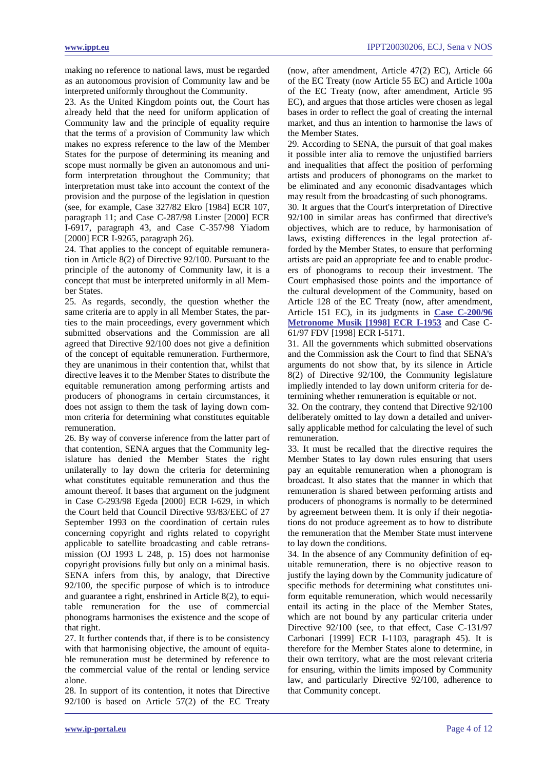making no reference to national laws, must be regarded as an autonomous provision of Community law and be interpreted uniformly throughout the Community.

23. As the United Kingdom points out, the Court has already held that the need for uniform application of Community law and the principle of equality require that the terms of a provision of Community law which makes no express reference to the law of the Member States for the purpose of determining its meaning and scope must normally be given an autonomous and uniform interpretation throughout the Community; that interpretation must take into account the context of the provision and the purpose of the legislation in question (see, for example, Case 327/82 Ekro [1984] ECR 107, paragraph 11; and Case C-287/98 Linster [2000] ECR I-6917, paragraph 43, and Case C-357/98 Yiadom [2000] ECR I-9265, paragraph 26).

24. That applies to the concept of equitable remuneration in Article 8(2) of Directive 92/100. Pursuant to the principle of the autonomy of Community law, it is a concept that must be interpreted uniformly in all Member States.

25. As regards, secondly, the question whether the same criteria are to apply in all Member States, the parties to the main proceedings, every government which submitted observations and the Commission are all agreed that Directive 92/100 does not give a definition of the concept of equitable remuneration. Furthermore, they are unanimous in their contention that, whilst that directive leaves it to the Member States to distribute the equitable remuneration among performing artists and producers of phonograms in certain circumstances, it does not assign to them the task of laying down common criteria for determining what constitutes equitable remuneration.

26. By way of converse inference from the latter part of that contention, SENA argues that the Community legislature has denied the Member States the right unilaterally to lay down the criteria for determining what constitutes equitable remuneration and thus the amount thereof. It bases that argument on the judgment in Case C-293/98 Egeda [2000] ECR I-629, in which the Court held that Council Directive 93/83/EEC of 27 September 1993 on the coordination of certain rules concerning copyright and rights related to copyright applicable to satellite broadcasting and cable retransmission (OJ 1993 L 248, p. 15) does not harmonise copyright provisions fully but only on a minimal basis. SENA infers from this, by analogy, that Directive 92/100, the specific purpose of which is to introduce and guarantee a right, enshrined in Article 8(2), to equitable remuneration for the use of commercial phonograms harmonises the existence and the scope of that right.

27. It further contends that, if there is to be consistency with that harmonising objective, the amount of equitable remuneration must be determined by reference to the commercial value of the rental or lending service alone.

28. In support of its contention, it notes that Directive 92/100 is based on Article 57(2) of the EC Treaty (now, after amendment, Article 47(2) EC), Article 66 of the EC Treaty (now Article 55 EC) and Article 100a of the EC Treaty (now, after amendment, Article 95 EC), and argues that those articles were chosen as legal bases in order to reflect the goal of creating the internal market, and thus an intention to harmonise the laws of the Member States.

29. According to SENA, the pursuit of that goal makes it possible inter alia to remove the unjustified barriers and inequalities that affect the position of performing artists and producers of phonograms on the market to be eliminated and any economic disadvantages which may result from the broadcasting of such phonograms.

30. It argues that the Court's interpretation of Directive 92/100 in similar areas has confirmed that directive's objectives, which are to reduce, by harmonisation of laws, existing differences in the legal protection afforded by the Member States, to ensure that performing artists are paid an appropriate fee and to enable producers of phonograms to recoup their investment. The Court emphasised those points and the importance of the cultural development of the Community, based on Article 128 of the EC Treaty (now, after amendment, Article 151 EC), in its judgments in **[Case C-200/96](http://www.ippt.eu/files/1998/IPPT19980428_ECJ_Metronome_Musik.pdf)  [Metronome Musik \[1998\] ECR I-1953](http://www.ippt.eu/files/1998/IPPT19980428_ECJ_Metronome_Musik.pdf)** and Case C-61/97 FDV [1998] ECR I-5171.

31. All the governments which submitted observations and the Commission ask the Court to find that SENA's arguments do not show that, by its silence in Article 8(2) of Directive 92/100, the Community legislature impliedly intended to lay down uniform criteria for determining whether remuneration is equitable or not.

32. On the contrary, they contend that Directive 92/100 deliberately omitted to lay down a detailed and universally applicable method for calculating the level of such remuneration.

33. It must be recalled that the directive requires the Member States to lay down rules ensuring that users pay an equitable remuneration when a phonogram is broadcast. It also states that the manner in which that remuneration is shared between performing artists and producers of phonograms is normally to be determined by agreement between them. It is only if their negotiations do not produce agreement as to how to distribute the remuneration that the Member State must intervene to lay down the conditions.

34. In the absence of any Community definition of equitable remuneration, there is no objective reason to justify the laying down by the Community judicature of specific methods for determining what constitutes uniform equitable remuneration, which would necessarily entail its acting in the place of the Member States, which are not bound by any particular criteria under Directive 92/100 (see, to that effect, Case C-131/97 Carbonari [1999] ECR I-1103, paragraph 45). It is therefore for the Member States alone to determine, in their own territory, what are the most relevant criteria for ensuring, within the limits imposed by Community law, and particularly Directive 92/100, adherence to that Community concept.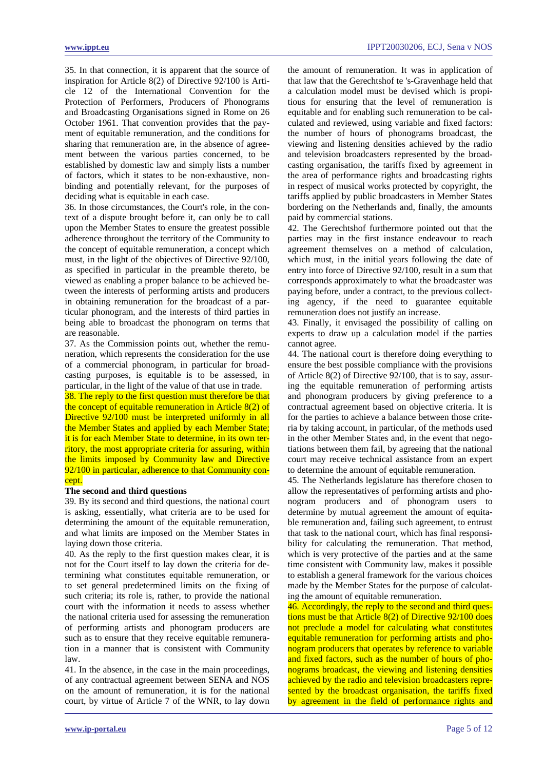<span id="page-4-0"></span>35. In that connection, it is apparent that the source of inspiration for Article 8(2) of Directive 92/100 is Article 12 of the International Convention for the Protection of Performers, Producers of Phonograms and Broadcasting Organisations signed in Rome on 26 October 1961. That convention provides that the payment of equitable remuneration, and the conditions for sharing that remuneration are, in the absence of agreement between the various parties concerned, to be established by domestic law and simply lists a number

of factors, which it states to be non-exhaustive, nonbinding and potentially relevant, for the purposes of deciding what is equitable in each case. 36. In those circumstances, the Court's role, in the context of a dispute brought before it, can only be to call upon the Member States to ensure the greatest possible adherence throughout the territory of the Community to

the concept of equitable remuneration, a concept which must, in the light of the objectives of Directive 92/100, as specified in particular in the preamble thereto, be viewed as enabling a proper balance to be achieved between the interests of performing artists and producers in obtaining remuneration for the broadcast of a particular phonogram, and the interests of third parties in being able to broadcast the phonogram on terms that are reasonable.

37. As the Commission points out, whether the remuneration, which represents the consideration for the use of a commercial phonogram, in particular for broadcasting purposes, is equitable is to be assessed, in particular, in the light of the value of that use in trade.

38. The reply to the first question must therefore be that the concept of equitable remuneration in Article 8(2) of Directive 92/100 must be interpreted uniformly in all the Member States and applied by each Member State; it is for each Member State to determine, in its own territory, the most appropriate criteria for assuring, within the limits imposed by Community law and Directive 92/100 in particular, adherence to that Community concept.

#### **The second and third questions**

39. By its second and third questions, the national court is asking, essentially, what criteria are to be used for determining the amount of the equitable remuneration, and what limits are imposed on the Member States in laying down those criteria.

40. As the reply to the first question makes clear, it is not for the Court itself to lay down the criteria for determining what constitutes equitable remuneration, or to set general predetermined limits on the fixing of such criteria; its role is, rather, to provide the national court with the information it needs to assess whether the national criteria used for assessing the remuneration of performing artists and phonogram producers are such as to ensure that they receive equitable remuneration in a manner that is consistent with Community law.

41. In the absence, in the case in the main proceedings, of any contractual agreement between SENA and NOS on the amount of remuneration, it is for the national court, by virtue of Article 7 of the WNR, to lay down

the amount of remuneration. It was in application of that law that the Gerechtshof te 's-Gravenhage held that a calculation model must be devised which is propitious for ensuring that the level of remuneration is equitable and for enabling such remuneration to be calculated and reviewed, using variable and fixed factors: the number of hours of phonograms broadcast, the viewing and listening densities achieved by the radio and television broadcasters represented by the broadcasting organisation, the tariffs fixed by agreement in the area of performance rights and broadcasting rights in respect of musical works protected by copyright, the tariffs applied by public broadcasters in Member States bordering on the Netherlands and, finally, the amounts paid by commercial stations.

42. The Gerechtshof furthermore pointed out that the parties may in the first instance endeavour to reach agreement themselves on a method of calculation, which must, in the initial years following the date of entry into force of Directive 92/100, result in a sum that corresponds approximately to what the broadcaster was paying before, under a contract, to the previous collecting agency, if the need to guarantee equitable remuneration does not justify an increase.

43. Finally, it envisaged the possibility of calling on experts to draw up a calculation model if the parties cannot agree.

44. The national court is therefore doing everything to ensure the best possible compliance with the provisions of Article 8(2) of Directive 92/100, that is to say, assuring the equitable remuneration of performing artists and phonogram producers by giving preference to a contractual agreement based on objective criteria. It is for the parties to achieve a balance between those criteria by taking account, in particular, of the methods used in the other Member States and, in the event that negotiations between them fail, by agreeing that the national court may receive technical assistance from an expert to determine the amount of equitable remuneration.

45. The Netherlands legislature has therefore chosen to allow the representatives of performing artists and phonogram producers and of phonogram users to determine by mutual agreement the amount of equitable remuneration and, failing such agreement, to entrust that task to the national court, which has final responsibility for calculating the remuneration. That method, which is very protective of the parties and at the same time consistent with Community law, makes it possible to establish a general framework for the various choices made by the Member States for the purpose of calculating the amount of equitable remuneration.

46. Accordingly, the reply to the second and third questions must be that Article 8(2) of Directive 92/100 does not preclude a model for calculating what constitutes equitable remuneration for performing artists and phonogram producers that operates by reference to variable and fixed factors, such as the number of hours of phonograms broadcast, the viewing and listening densities achieved by the radio and television broadcasters represented by the broadcast organisation, the tariffs fixed by agreement in the field of performance rights and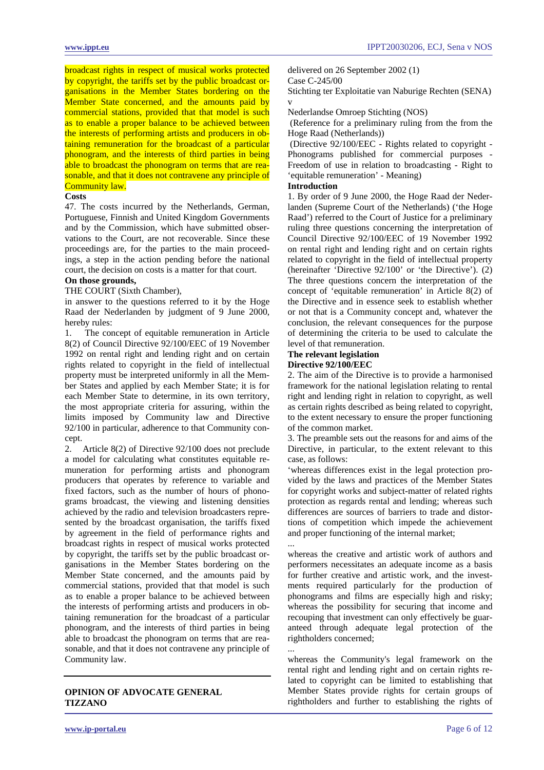<span id="page-5-0"></span>broadcast rights in respect of musical works protected by copyright, the tariffs set by the public broadcast organisations in the Member States bordering on the Member State concerned, and the amounts paid by commercial stations, provided that that model is such as to enable a proper balance to be achieved between the interests of performing artists and producers in obtaining remuneration for the broadcast of a particular phonogram, and the interests of third parties in being able to broadcast the phonogram on terms that are reasonable, and that it does not contravene any principle of Community law.

#### **Costs**

47. The costs incurred by the Netherlands, German, Portuguese, Finnish and United Kingdom Governments and by the Commission, which have submitted observations to the Court, are not recoverable. Since these proceedings are, for the parties to the main proceedings, a step in the action pending before the national court, the decision on costs is a matter for that court.

## **On those grounds,**

THE COURT (Sixth Chamber),

in answer to the questions referred to it by the Hoge Raad der Nederlanden by judgment of 9 June 2000, hereby rules:

1. The concept of equitable remuneration in Article 8(2) of Council Directive 92/100/EEC of 19 November 1992 on rental right and lending right and on certain rights related to copyright in the field of intellectual property must be interpreted uniformly in all the Member States and applied by each Member State; it is for each Member State to determine, in its own territory, the most appropriate criteria for assuring, within the limits imposed by Community law and Directive 92/100 in particular, adherence to that Community concept.

2. Article 8(2) of Directive 92/100 does not preclude a model for calculating what constitutes equitable remuneration for performing artists and phonogram producers that operates by reference to variable and fixed factors, such as the number of hours of phonograms broadcast, the viewing and listening densities achieved by the radio and television broadcasters represented by the broadcast organisation, the tariffs fixed by agreement in the field of performance rights and broadcast rights in respect of musical works protected by copyright, the tariffs set by the public broadcast organisations in the Member States bordering on the Member State concerned, and the amounts paid by commercial stations, provided that that model is such as to enable a proper balance to be achieved between the interests of performing artists and producers in obtaining remuneration for the broadcast of a particular phonogram, and the interests of third parties in being able to broadcast the phonogram on terms that are reasonable, and that it does not contravene any principle of Community law.

#### **OPINION OF ADVOCATE GENERAL TIZZANO**

delivered on 26 September 2002 (1) Case C-245/00

Stichting ter Exploitatie van Naburige Rechten (SENA) v

Nederlandse Omroep Stichting (NOS)

 (Reference for a preliminary ruling from the from the Hoge Raad (Netherlands))

 (Directive 92/100/EEC - Rights related to copyright - Phonograms published for commercial purposes - Freedom of use in relation to broadcasting - Right to 'equitable remuneration' - Meaning)

## **Introduction**

1. By order of 9 June 2000, the Hoge Raad der Nederlanden (Supreme Court of the Netherlands) ('the Hoge Raad') referred to the Court of Justice for a preliminary ruling three questions concerning the interpretation of Council Directive 92/100/EEC of 19 November 1992 on rental right and lending right and on certain rights related to copyright in the field of intellectual property (hereinafter 'Directive 92/100' or 'the Directive'). (2) The three questions concern the interpretation of the concept of 'equitable remuneration' in Article 8(2) of the Directive and in essence seek to establish whether or not that is a Community concept and, whatever the conclusion, the relevant consequences for the purpose of determining the criteria to be used to calculate the level of that remuneration.

# **The relevant legislation**

## **Directive 92/100/EEC**

...

...

2. The aim of the Directive is to provide a harmonised framework for the national legislation relating to rental right and lending right in relation to copyright, as well as certain rights described as being related to copyright, to the extent necessary to ensure the proper functioning of the common market.

3. The preamble sets out the reasons for and aims of the Directive, in particular, to the extent relevant to this case, as follows:

'whereas differences exist in the legal protection provided by the laws and practices of the Member States for copyright works and subject-matter of related rights protection as regards rental and lending; whereas such differences are sources of barriers to trade and distortions of competition which impede the achievement and proper functioning of the internal market;

whereas the creative and artistic work of authors and performers necessitates an adequate income as a basis for further creative and artistic work, and the investments required particularly for the production of phonograms and films are especially high and risky; whereas the possibility for securing that income and recouping that investment can only effectively be guaranteed through adequate legal protection of the rightholders concerned;

whereas the Community's legal framework on the rental right and lending right and on certain rights related to copyright can be limited to establishing that Member States provide rights for certain groups of rightholders and further to establishing the rights of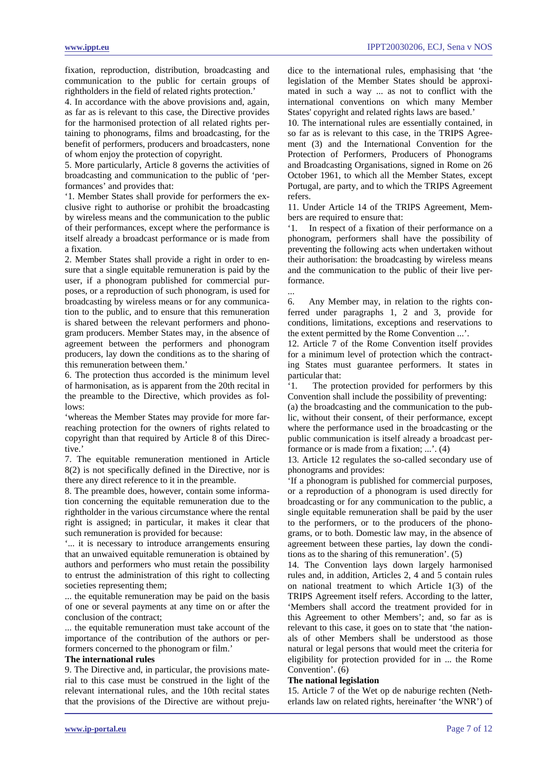fixation, reproduction, distribution, broadcasting and communication to the public for certain groups of rightholders in the field of related rights protection.'

4. In accordance with the above provisions and, again, as far as is relevant to this case, the Directive provides for the harmonised protection of all related rights pertaining to phonograms, films and broadcasting, for the benefit of performers, producers and broadcasters, none of whom enjoy the protection of copyright.

5. More particularly, Article 8 governs the activities of broadcasting and communication to the public of 'performances' and provides that:

'1. Member States shall provide for performers the exclusive right to authorise or prohibit the broadcasting by wireless means and the communication to the public of their performances, except where the performance is itself already a broadcast performance or is made from a fixation.

2. Member States shall provide a right in order to ensure that a single equitable remuneration is paid by the user, if a phonogram published for commercial purposes, or a reproduction of such phonogram, is used for broadcasting by wireless means or for any communication to the public, and to ensure that this remuneration is shared between the relevant performers and phonogram producers. Member States may, in the absence of agreement between the performers and phonogram producers, lay down the conditions as to the sharing of this remuneration between them.'

6. The protection thus accorded is the minimum level of harmonisation, as is apparent from the 20th recital in the preamble to the Directive, which provides as follows:

'whereas the Member States may provide for more farreaching protection for the owners of rights related to copyright than that required by Article 8 of this Directive.'

7. The equitable remuneration mentioned in Article 8(2) is not specifically defined in the Directive, nor is there any direct reference to it in the preamble.

8. The preamble does, however, contain some information concerning the equitable remuneration due to the rightholder in the various circumstance where the rental right is assigned; in particular, it makes it clear that such remuneration is provided for because:

'... it is necessary to introduce arrangements ensuring that an unwaived equitable remuneration is obtained by authors and performers who must retain the possibility to entrust the administration of this right to collecting societies representing them;

... the equitable remuneration may be paid on the basis of one or several payments at any time on or after the conclusion of the contract;

... the equitable remuneration must take account of the importance of the contribution of the authors or performers concerned to the phonogram or film.'

#### **The international rules**

9. The Directive and, in particular, the provisions material to this case must be construed in the light of the relevant international rules, and the 10th recital states that the provisions of the Directive are without prejudice to the international rules, emphasising that 'the legislation of the Member States should be approximated in such a way ... as not to conflict with the international conventions on which many Member States' copyright and related rights laws are based.'

10. The international rules are essentially contained, in so far as is relevant to this case, in the TRIPS Agreement (3) and the International Convention for the Protection of Performers, Producers of Phonograms and Broadcasting Organisations, signed in Rome on 26 October 1961, to which all the Member States, except Portugal, are party, and to which the TRIPS Agreement refers.

11. Under Article 14 of the TRIPS Agreement, Members are required to ensure that:

In respect of a fixation of their performance on a phonogram, performers shall have the possibility of preventing the following acts when undertaken without their authorisation: the broadcasting by wireless means and the communication to the public of their live performance.

6. Any Member may, in relation to the rights conferred under paragraphs 1, 2 and 3, provide for conditions, limitations, exceptions and reservations to the extent permitted by the Rome Convention ...'.

...

12. Article 7 of the Rome Convention itself provides for a minimum level of protection which the contracting States must guarantee performers. It states in particular that:

'1. The protection provided for performers by this Convention shall include the possibility of preventing:

(a) the broadcasting and the communication to the public, without their consent, of their performance, except where the performance used in the broadcasting or the public communication is itself already a broadcast performance or is made from a fixation; ...'. (4)

13. Article 12 regulates the so-called secondary use of phonograms and provides:

'If a phonogram is published for commercial purposes, or a reproduction of a phonogram is used directly for broadcasting or for any communication to the public, a single equitable remuneration shall be paid by the user to the performers, or to the producers of the phonograms, or to both. Domestic law may, in the absence of agreement between these parties, lay down the conditions as to the sharing of this remuneration'. (5)

14. The Convention lays down largely harmonised rules and, in addition, Articles 2, 4 and 5 contain rules on national treatment to which Article 1(3) of the TRIPS Agreement itself refers. According to the latter, 'Members shall accord the treatment provided for in this Agreement to other Members'; and, so far as is relevant to this case, it goes on to state that 'the nationals of other Members shall be understood as those natural or legal persons that would meet the criteria for eligibility for protection provided for in ... the Rome Convention'. (6)

## **The national legislation**

15. Article 7 of the Wet op de naburige rechten (Netherlands law on related rights, hereinafter 'the WNR') of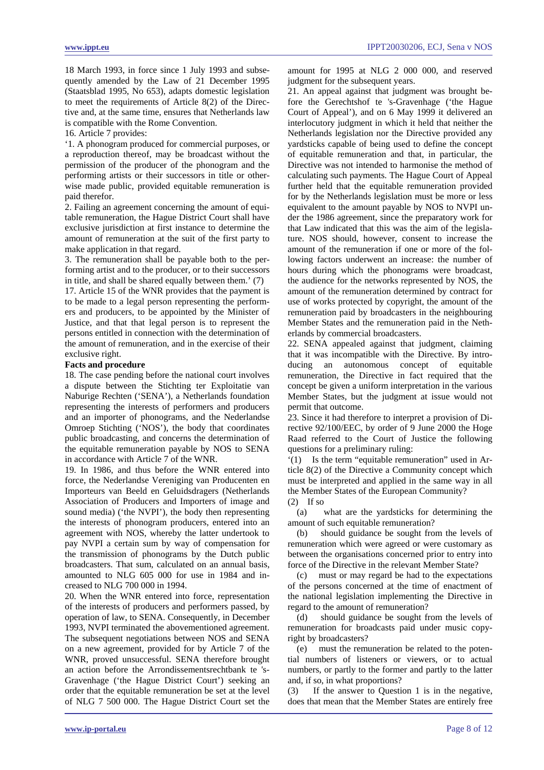18 March 1993, in force since 1 July 1993 and subsequently amended by the Law of 21 December 1995 (Staatsblad 1995, No 653), adapts domestic legislation to meet the requirements of Article 8(2) of the Directive and, at the same time, ensures that Netherlands law is compatible with the Rome Convention.

16. Article 7 provides:

'1. A phonogram produced for commercial purposes, or a reproduction thereof, may be broadcast without the permission of the producer of the phonogram and the performing artists or their successors in title or otherwise made public, provided equitable remuneration is paid therefor.

2. Failing an agreement concerning the amount of equitable remuneration, the Hague District Court shall have exclusive jurisdiction at first instance to determine the amount of remuneration at the suit of the first party to make application in that regard.

3. The remuneration shall be payable both to the performing artist and to the producer, or to their successors in title, and shall be shared equally between them.' (7)

17. Article 15 of the WNR provides that the payment is to be made to a legal person representing the performers and producers, to be appointed by the Minister of Justice, and that that legal person is to represent the persons entitled in connection with the determination of the amount of remuneration, and in the exercise of their exclusive right.

## **Facts and procedure**

18. The case pending before the national court involves a dispute between the Stichting ter Exploitatie van Naburige Rechten ('SENA'), a Netherlands foundation representing the interests of performers and producers and an importer of phonograms, and the Nederlandse Omroep Stichting ('NOS'), the body that coordinates public broadcasting, and concerns the determination of the equitable remuneration payable by NOS to SENA in accordance with Article 7 of the WNR.

19. In 1986, and thus before the WNR entered into force, the Nederlandse Vereniging van Producenten en Importeurs van Beeld en Geluidsdragers (Netherlands Association of Producers and Importers of image and sound media) ('the NVPI'), the body then representing the interests of phonogram producers, entered into an agreement with NOS, whereby the latter undertook to pay NVPI a certain sum by way of compensation for the transmission of phonograms by the Dutch public broadcasters. That sum, calculated on an annual basis, amounted to NLG 605 000 for use in 1984 and increased to NLG 700 000 in 1994.

20. When the WNR entered into force, representation of the interests of producers and performers passed, by operation of law, to SENA. Consequently, in December 1993, NVPI terminated the abovementioned agreement. The subsequent negotiations between NOS and SENA on a new agreement, provided for by Article 7 of the WNR, proved unsuccessful. SENA therefore brought an action before the Arrondissementsrechtbank te 's-Gravenhage ('the Hague District Court') seeking an order that the equitable remuneration be set at the level of NLG 7 500 000. The Hague District Court set the amount for 1995 at NLG 2 000 000, and reserved judgment for the subsequent years.

21. An appeal against that judgment was brought before the Gerechtshof te 's-Gravenhage ('the Hague Court of Appeal'), and on 6 May 1999 it delivered an interlocutory judgment in which it held that neither the Netherlands legislation nor the Directive provided any yardsticks capable of being used to define the concept of equitable remuneration and that, in particular, the Directive was not intended to harmonise the method of calculating such payments. The Hague Court of Appeal further held that the equitable remuneration provided for by the Netherlands legislation must be more or less equivalent to the amount payable by NOS to NVPI under the 1986 agreement, since the preparatory work for that Law indicated that this was the aim of the legislature. NOS should, however, consent to increase the amount of the remuneration if one or more of the following factors underwent an increase: the number of hours during which the phonograms were broadcast, the audience for the networks represented by NOS, the amount of the remuneration determined by contract for use of works protected by copyright, the amount of the remuneration paid by broadcasters in the neighbouring Member States and the remuneration paid in the Netherlands by commercial broadcasters.

22. SENA appealed against that judgment, claiming that it was incompatible with the Directive. By introducing an autonomous concept of equitable remuneration, the Directive in fact required that the concept be given a uniform interpretation in the various Member States, but the judgment at issue would not permit that outcome.

23. Since it had therefore to interpret a provision of Directive 92/100/EEC, by order of 9 June 2000 the Hoge Raad referred to the Court of Justice the following questions for a preliminary ruling:

'(1) Is the term "equitable remuneration" used in Article 8(2) of the Directive a Community concept which must be interpreted and applied in the same way in all the Member States of the European Community?  $(2)$  If so

 (a) what are the yardsticks for determining the amount of such equitable remuneration?

 (b) should guidance be sought from the levels of remuneration which were agreed or were customary as between the organisations concerned prior to entry into force of the Directive in the relevant Member State?

 (c) must or may regard be had to the expectations of the persons concerned at the time of enactment of the national legislation implementing the Directive in regard to the amount of remuneration?

 (d) should guidance be sought from the levels of remuneration for broadcasts paid under music copyright by broadcasters?

 (e) must the remuneration be related to the potential numbers of listeners or viewers, or to actual numbers, or partly to the former and partly to the latter and, if so, in what proportions?

(3) If the answer to Question 1 is in the negative, does that mean that the Member States are entirely free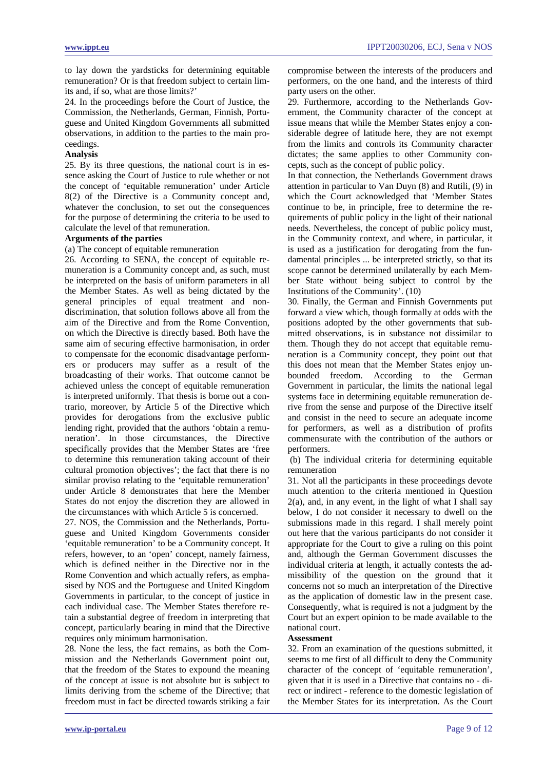to lay down the yardsticks for determining equitable remuneration? Or is that freedom subject to certain limits and, if so, what are those limits?'

24. In the proceedings before the Court of Justice, the Commission, the Netherlands, German, Finnish, Portuguese and United Kingdom Governments all submitted observations, in addition to the parties to the main proceedings.

## **Analysis**

25. By its three questions, the national court is in essence asking the Court of Justice to rule whether or not the concept of 'equitable remuneration' under Article 8(2) of the Directive is a Community concept and, whatever the conclusion, to set out the consequences for the purpose of determining the criteria to be used to calculate the level of that remuneration.

## **Arguments of the parties**

(a) The concept of equitable remuneration

26. According to SENA, the concept of equitable remuneration is a Community concept and, as such, must be interpreted on the basis of uniform parameters in all the Member States. As well as being dictated by the general principles of equal treatment and nondiscrimination, that solution follows above all from the aim of the Directive and from the Rome Convention, on which the Directive is directly based. Both have the same aim of securing effective harmonisation, in order to compensate for the economic disadvantage performers or producers may suffer as a result of the broadcasting of their works. That outcome cannot be achieved unless the concept of equitable remuneration is interpreted uniformly. That thesis is borne out a contrario, moreover, by Article 5 of the Directive which provides for derogations from the exclusive public lending right, provided that the authors 'obtain a remuneration'. In those circumstances, the Directive specifically provides that the Member States are 'free to determine this remuneration taking account of their cultural promotion objectives'; the fact that there is no similar proviso relating to the 'equitable remuneration' under Article 8 demonstrates that here the Member States do not enjoy the discretion they are allowed in the circumstances with which Article 5 is concerned.

27. NOS, the Commission and the Netherlands, Portuguese and United Kingdom Governments consider 'equitable remuneration' to be a Community concept. It refers, however, to an 'open' concept, namely fairness, which is defined neither in the Directive nor in the Rome Convention and which actually refers, as emphasised by NOS and the Portuguese and United Kingdom Governments in particular, to the concept of justice in each individual case. The Member States therefore retain a substantial degree of freedom in interpreting that concept, particularly bearing in mind that the Directive requires only minimum harmonisation.

28. None the less, the fact remains, as both the Commission and the Netherlands Government point out, that the freedom of the States to expound the meaning of the concept at issue is not absolute but is subject to limits deriving from the scheme of the Directive; that freedom must in fact be directed towards striking a fair compromise between the interests of the producers and performers, on the one hand, and the interests of third party users on the other.

29. Furthermore, according to the Netherlands Government, the Community character of the concept at issue means that while the Member States enjoy a considerable degree of latitude here, they are not exempt from the limits and controls its Community character dictates; the same applies to other Community concepts, such as the concept of public policy.

In that connection, the Netherlands Government draws attention in particular to Van Duyn (8) and Rutili, (9) in which the Court acknowledged that 'Member States continue to be, in principle, free to determine the requirements of public policy in the light of their national needs. Nevertheless, the concept of public policy must, in the Community context, and where, in particular, it is used as a justification for derogating from the fundamental principles ... be interpreted strictly, so that its scope cannot be determined unilaterally by each Member State without being subject to control by the Institutions of the Community'. (10)

30. Finally, the German and Finnish Governments put forward a view which, though formally at odds with the positions adopted by the other governments that submitted observations, is in substance not dissimilar to them. Though they do not accept that equitable remuneration is a Community concept, they point out that this does not mean that the Member States enjoy unbounded freedom. According to the German Government in particular, the limits the national legal systems face in determining equitable remuneration derive from the sense and purpose of the Directive itself and consist in the need to secure an adequate income for performers, as well as a distribution of profits commensurate with the contribution of the authors or performers.

 (b) The individual criteria for determining equitable remuneration

31. Not all the participants in these proceedings devote much attention to the criteria mentioned in Question  $2(a)$ , and, in any event, in the light of what I shall say below, I do not consider it necessary to dwell on the submissions made in this regard. I shall merely point out here that the various participants do not consider it appropriate for the Court to give a ruling on this point and, although the German Government discusses the individual criteria at length, it actually contests the admissibility of the question on the ground that it concerns not so much an interpretation of the Directive as the application of domestic law in the present case. Consequently, what is required is not a judgment by the Court but an expert opinion to be made available to the national court.

## **Assessment**

32. From an examination of the questions submitted, it seems to me first of all difficult to deny the Community character of the concept of 'equitable remuneration', given that it is used in a Directive that contains no - direct or indirect - reference to the domestic legislation of the Member States for its interpretation. As the Court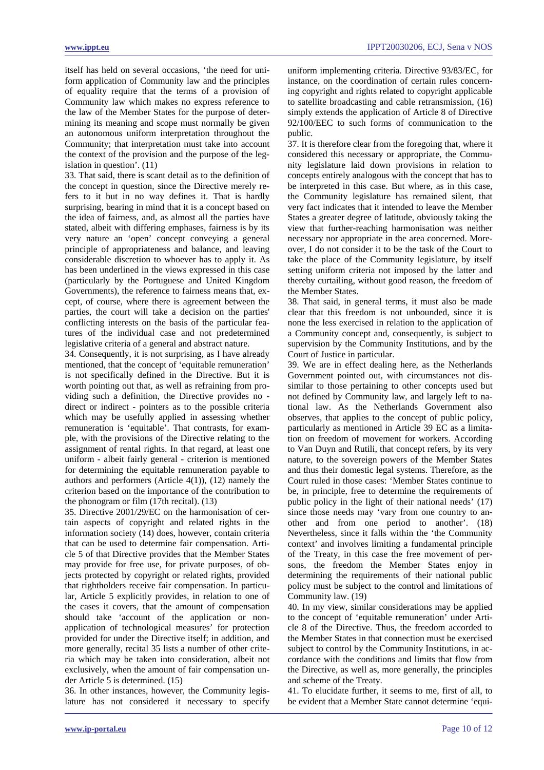itself has held on several occasions, 'the need for uniform application of Community law and the principles of equality require that the terms of a provision of Community law which makes no express reference to the law of the Member States for the purpose of determining its meaning and scope must normally be given an autonomous uniform interpretation throughout the Community; that interpretation must take into account the context of the provision and the purpose of the legislation in question'. (11)

33. That said, there is scant detail as to the definition of the concept in question, since the Directive merely refers to it but in no way defines it. That is hardly surprising, bearing in mind that it is a concept based on the idea of fairness, and, as almost all the parties have stated, albeit with differing emphases, fairness is by its very nature an 'open' concept conveying a general principle of appropriateness and balance, and leaving considerable discretion to whoever has to apply it. As has been underlined in the views expressed in this case (particularly by the Portuguese and United Kingdom Governments), the reference to fairness means that, except, of course, where there is agreement between the parties, the court will take a decision on the parties' conflicting interests on the basis of the particular features of the individual case and not predetermined legislative criteria of a general and abstract nature.

34. Consequently, it is not surprising, as I have already mentioned, that the concept of 'equitable remuneration' is not specifically defined in the Directive. But it is worth pointing out that, as well as refraining from providing such a definition, the Directive provides no direct or indirect - pointers as to the possible criteria which may be usefully applied in assessing whether remuneration is 'equitable'. That contrasts, for example, with the provisions of the Directive relating to the assignment of rental rights. In that regard, at least one uniform - albeit fairly general - criterion is mentioned for determining the equitable remuneration payable to authors and performers (Article  $4(1)$ ), (12) namely the criterion based on the importance of the contribution to the phonogram or film (17th recital). (13)

35. Directive 2001/29/EC on the harmonisation of certain aspects of copyright and related rights in the information society (14) does, however, contain criteria that can be used to determine fair compensation. Article 5 of that Directive provides that the Member States may provide for free use, for private purposes, of objects protected by copyright or related rights, provided that rightholders receive fair compensation. In particular, Article 5 explicitly provides, in relation to one of the cases it covers, that the amount of compensation should take 'account of the application or nonapplication of technological measures' for protection provided for under the Directive itself; in addition, and more generally, recital 35 lists a number of other criteria which may be taken into consideration, albeit not exclusively, when the amount of fair compensation under Article 5 is determined. (15)

36. In other instances, however, the Community legislature has not considered it necessary to specify uniform implementing criteria. Directive 93/83/EC, for instance, on the coordination of certain rules concerning copyright and rights related to copyright applicable to satellite broadcasting and cable retransmission, (16) simply extends the application of Article 8 of Directive 92/100/EEC to such forms of communication to the public.

37. It is therefore clear from the foregoing that, where it considered this necessary or appropriate, the Community legislature laid down provisions in relation to concepts entirely analogous with the concept that has to be interpreted in this case. But where, as in this case, the Community legislature has remained silent, that very fact indicates that it intended to leave the Member States a greater degree of latitude, obviously taking the view that further-reaching harmonisation was neither necessary nor appropriate in the area concerned. Moreover, I do not consider it to be the task of the Court to take the place of the Community legislature, by itself setting uniform criteria not imposed by the latter and thereby curtailing, without good reason, the freedom of the Member States.

38. That said, in general terms, it must also be made clear that this freedom is not unbounded, since it is none the less exercised in relation to the application of a Community concept and, consequently, is subject to supervision by the Community Institutions, and by the Court of Justice in particular.

39. We are in effect dealing here, as the Netherlands Government pointed out, with circumstances not dissimilar to those pertaining to other concepts used but not defined by Community law, and largely left to national law. As the Netherlands Government also observes, that applies to the concept of public policy, particularly as mentioned in Article 39 EC as a limitation on freedom of movement for workers. According to Van Duyn and Rutili, that concept refers, by its very nature, to the sovereign powers of the Member States and thus their domestic legal systems. Therefore, as the Court ruled in those cases: 'Member States continue to be, in principle, free to determine the requirements of public policy in the light of their national needs' (17) since those needs may 'vary from one country to another and from one period to another'. (18) Nevertheless, since it falls within the 'the Community context' and involves limiting a fundamental principle of the Treaty, in this case the free movement of persons, the freedom the Member States enjoy in determining the requirements of their national public policy must be subject to the control and limitations of Community law. (19)

40. In my view, similar considerations may be applied to the concept of 'equitable remuneration' under Article 8 of the Directive. Thus, the freedom accorded to the Member States in that connection must be exercised subject to control by the Community Institutions, in accordance with the conditions and limits that flow from the Directive, as well as, more generally, the principles and scheme of the Treaty.

41. To elucidate further, it seems to me, first of all, to be evident that a Member State cannot determine 'equi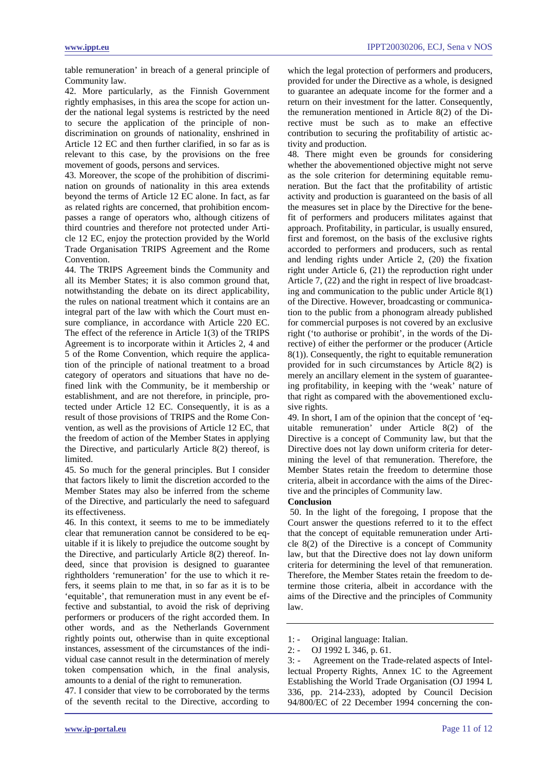table remuneration' in breach of a general principle of Community law.

42. More particularly, as the Finnish Government rightly emphasises, in this area the scope for action under the national legal systems is restricted by the need to secure the application of the principle of nondiscrimination on grounds of nationality, enshrined in Article 12 EC and then further clarified, in so far as is relevant to this case, by the provisions on the free movement of goods, persons and services.

43. Moreover, the scope of the prohibition of discrimination on grounds of nationality in this area extends beyond the terms of Article 12 EC alone. In fact, as far as related rights are concerned, that prohibition encompasses a range of operators who, although citizens of third countries and therefore not protected under Article 12 EC, enjoy the protection provided by the World Trade Organisation TRIPS Agreement and the Rome Convention.

44. The TRIPS Agreement binds the Community and all its Member States; it is also common ground that, notwithstanding the debate on its direct applicability, the rules on national treatment which it contains are an integral part of the law with which the Court must ensure compliance, in accordance with Article 220 EC. The effect of the reference in Article 1(3) of the TRIPS Agreement is to incorporate within it Articles 2, 4 and 5 of the Rome Convention, which require the application of the principle of national treatment to a broad category of operators and situations that have no defined link with the Community, be it membership or establishment, and are not therefore, in principle, protected under Article 12 EC. Consequently, it is as a result of those provisions of TRIPS and the Rome Convention, as well as the provisions of Article 12 EC, that the freedom of action of the Member States in applying the Directive, and particularly Article 8(2) thereof, is limited.

45. So much for the general principles. But I consider that factors likely to limit the discretion accorded to the Member States may also be inferred from the scheme of the Directive, and particularly the need to safeguard its effectiveness.

46. In this context, it seems to me to be immediately clear that remuneration cannot be considered to be equitable if it is likely to prejudice the outcome sought by the Directive, and particularly Article 8(2) thereof. Indeed, since that provision is designed to guarantee rightholders 'remuneration' for the use to which it refers, it seems plain to me that, in so far as it is to be 'equitable', that remuneration must in any event be effective and substantial, to avoid the risk of depriving performers or producers of the right accorded them. In other words, and as the Netherlands Government rightly points out, otherwise than in quite exceptional instances, assessment of the circumstances of the individual case cannot result in the determination of merely token compensation which, in the final analysis, amounts to a denial of the right to remuneration.

47. I consider that view to be corroborated by the terms of the seventh recital to the Directive, according to which the legal protection of performers and producers, provided for under the Directive as a whole, is designed to guarantee an adequate income for the former and a return on their investment for the latter. Consequently, the remuneration mentioned in Article 8(2) of the Directive must be such as to make an effective contribution to securing the profitability of artistic activity and production.

48. There might even be grounds for considering whether the abovementioned objective might not serve as the sole criterion for determining equitable remuneration. But the fact that the profitability of artistic activity and production is guaranteed on the basis of all the measures set in place by the Directive for the benefit of performers and producers militates against that approach. Profitability, in particular, is usually ensured, first and foremost, on the basis of the exclusive rights accorded to performers and producers, such as rental and lending rights under Article 2, (20) the fixation right under Article 6, (21) the reproduction right under Article 7, (22) and the right in respect of live broadcasting and communication to the public under Article 8(1) of the Directive. However, broadcasting or communication to the public from a phonogram already published for commercial purposes is not covered by an exclusive right ('to authorise or prohibit', in the words of the Directive) of either the performer or the producer (Article 8(1)). Consequently, the right to equitable remuneration provided for in such circumstances by Article 8(2) is merely an ancillary element in the system of guaranteeing profitability, in keeping with the 'weak' nature of that right as compared with the abovementioned exclusive rights.

49. In short, I am of the opinion that the concept of 'equitable remuneration' under Article 8(2) of the Directive is a concept of Community law, but that the Directive does not lay down uniform criteria for determining the level of that remuneration. Therefore, the Member States retain the freedom to determine those criteria, albeit in accordance with the aims of the Directive and the principles of Community law.

## **Conclusion**

 50. In the light of the foregoing, I propose that the Court answer the questions referred to it to the effect that the concept of equitable remuneration under Article 8(2) of the Directive is a concept of Community law, but that the Directive does not lay down uniform criteria for determining the level of that remuneration. Therefore, the Member States retain the freedom to determine those criteria, albeit in accordance with the aims of the Directive and the principles of Community law.

3: - Agreement on the Trade-related aspects of Intellectual Property Rights, Annex 1C to the Agreement Establishing the World Trade Organisation (OJ 1994 L 336, pp. 214-233), adopted by Council Decision 94/800/EC of 22 December 1994 concerning the con-

<sup>1: -</sup> Original language: Italian.

<sup>2: -</sup> OJ 1992 L 346, p. 61.